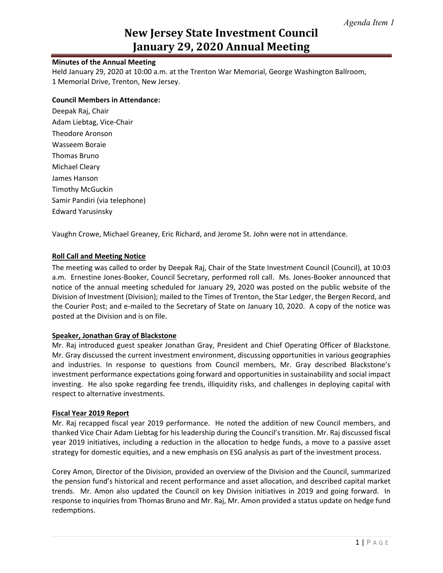# **New Jersey State Investment Council January 29, 2020 Annual Meeting**

# **Minutes of the Annual Meeting**

Held January 29, 2020 at 10:00 a.m. at the Trenton War Memorial, George Washington Ballroom, 1 Memorial Drive, Trenton, New Jersey.

### **Council Members in Attendance:**

Deepak Raj, Chair Adam Liebtag, Vice-Chair Theodore Aronson Wasseem Boraie Thomas Bruno Michael Cleary James Hanson Timothy McGuckin Samir Pandiri (via telephone) Edward Yarusinsky

Vaughn Crowe, Michael Greaney, Eric Richard, and Jerome St. John were not in attendance.

# **Roll Call and Meeting Notice**

The meeting was called to order by Deepak Raj, Chair of the State Investment Council (Council), at 10:03 a.m. Ernestine Jones-Booker, Council Secretary, performed roll call. Ms. Jones-Booker announced that notice of the annual meeting scheduled for January 29, 2020 was posted on the public website of the Division of Investment (Division); mailed to the Times of Trenton, the Star Ledger, the Bergen Record, and the Courier Post; and e-mailed to the Secretary of State on January 10, 2020. A copy of the notice was posted at the Division and is on file.

#### **Speaker, Jonathan Gray of Blackstone**

Mr. Raj introduced guest speaker Jonathan Gray, President and Chief Operating Officer of Blackstone. Mr. Gray discussed the current investment environment, discussing opportunities in various geographies and industries. In response to questions from Council members, Mr. Gray described Blackstone's investment performance expectations going forward and opportunities in sustainability and social impact investing. He also spoke regarding fee trends, illiquidity risks, and challenges in deploying capital with respect to alternative investments.

#### **Fiscal Year 2019 Report**

Mr. Raj recapped fiscal year 2019 performance. He noted the addition of new Council members, and thanked Vice Chair Adam Liebtag for his leadership during the Council's transition. Mr. Raj discussed fiscal year 2019 initiatives, including a reduction in the allocation to hedge funds, a move to a passive asset strategy for domestic equities, and a new emphasis on ESG analysis as part of the investment process.

Corey Amon, Director of the Division, provided an overview of the Division and the Council, summarized the pension fund's historical and recent performance and asset allocation, and described capital market trends. Mr. Amon also updated the Council on key Division initiatives in 2019 and going forward. In response to inquiries from Thomas Bruno and Mr. Raj, Mr. Amon provided a status update on hedge fund redemptions.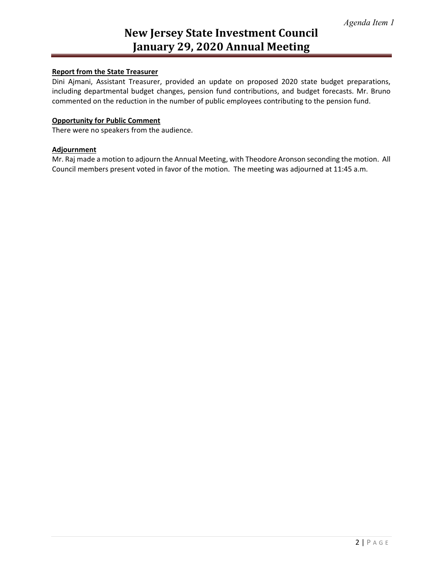# **New Jersey State Investment Council January 29, 2020 Annual Meeting**

# **Report from the State Treasurer**

Dini Ajmani, Assistant Treasurer, provided an update on proposed 2020 state budget preparations, including departmental budget changes, pension fund contributions, and budget forecasts. Mr. Bruno commented on the reduction in the number of public employees contributing to the pension fund.

### **Opportunity for Public Comment**

There were no speakers from the audience.

# **Adjournment**

Mr. Raj made a motion to adjourn the Annual Meeting, with Theodore Aronson seconding the motion. All Council members present voted in favor of the motion. The meeting was adjourned at 11:45 a.m.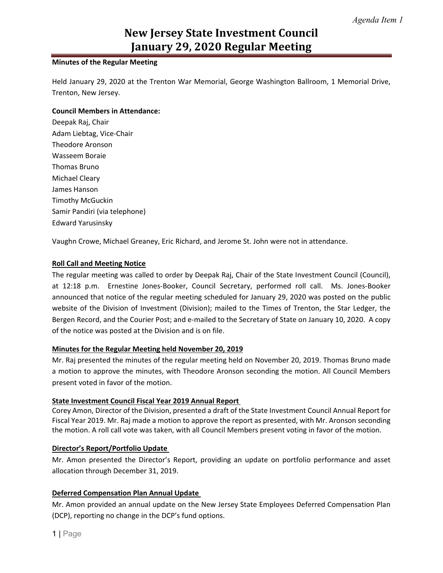# **New Jersey State Investment Council January 29, 2020 Regular Meeting**

# **Minutes of the Regular Meeting**

Held January 29, 2020 at the Trenton War Memorial, George Washington Ballroom, 1 Memorial Drive, Trenton, New Jersey.

# **Council Members in Attendance:**

Deepak Raj, Chair Adam Liebtag, Vice-Chair Theodore Aronson Wasseem Boraie Thomas Bruno Michael Cleary James Hanson Timothy McGuckin Samir Pandiri (via telephone) Edward Yarusinsky

Vaughn Crowe, Michael Greaney, Eric Richard, and Jerome St. John were not in attendance.

# **Roll Call and Meeting Notice**

The regular meeting was called to order by Deepak Raj, Chair of the State Investment Council (Council), at 12:18 p.m. Ernestine Jones-Booker, Council Secretary, performed roll call. Ms. Jones-Booker announced that notice of the regular meeting scheduled for January 29, 2020 was posted on the public website of the Division of Investment (Division); mailed to the Times of Trenton, the Star Ledger, the Bergen Record, and the Courier Post; and e-mailed to the Secretary of State on January 10, 2020. A copy of the notice was posted at the Division and is on file.

#### **Minutes for the Regular Meeting held November 20, 2019**

Mr. Raj presented the minutes of the regular meeting held on November 20, 2019. Thomas Bruno made a motion to approve the minutes, with Theodore Aronson seconding the motion. All Council Members present voted in favor of the motion.

#### **State Investment Council Fiscal Year 2019 Annual Report**

Corey Amon, Director of the Division, presented a draft of the State Investment Council Annual Report for Fiscal Year 2019. Mr. Raj made a motion to approve the report as presented, with Mr. Aronson seconding the motion. A roll call vote was taken, with all Council Members present voting in favor of the motion.

# **Director's Report/Portfolio Update**

Mr. Amon presented the Director's Report, providing an update on portfolio performance and asset allocation through December 31, 2019.

# **Deferred Compensation Plan Annual Update**

Mr. Amon provided an annual update on the New Jersey State Employees Deferred Compensation Plan (DCP), reporting no change in the DCP's fund options.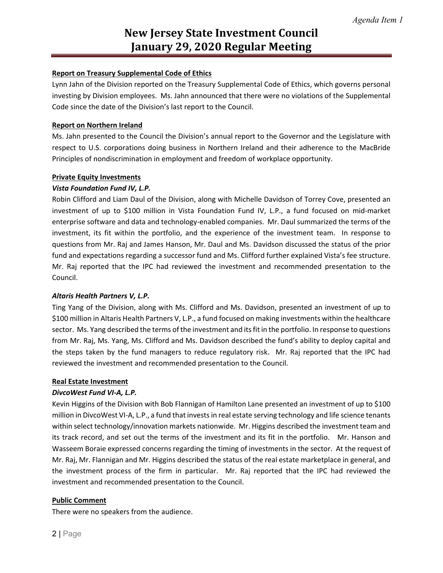# **New Jersey State Investment Council January 29, 2020 Regular Meeting**

# **Report on Treasury Supplemental Code of Ethics**

Lynn Jahn of the Division reported on the Treasury Supplemental Code of Ethics, which governs personal investing by Division employees. Ms. Jahn announced that there were no violations of the Supplemental Code since the date of the Division's last report to the Council.

#### **Report on Northern Ireland**

Ms. Jahn presented to the Council the Division's annual report to the Governor and the Legislature with respect to U.S. corporations doing business in Northern Ireland and their adherence to the MacBride Principles of nondiscrimination in employment and freedom of workplace opportunity.

#### **Private Equity Investments**

#### *Vista Foundation Fund IV, L.P.*

Robin Clifford and Liam Daul of the Division, along with Michelle Davidson of Torrey Cove, presented an investment of up to \$100 million in Vista Foundation Fund IV, L.P., a fund focused on mid-market enterprise software and data and technology-enabled companies. Mr. Daul summarized the terms of the investment, its fit within the portfolio, and the experience of the investment team. In response to questions from Mr. Raj and James Hanson, Mr. Daul and Ms. Davidson discussed the status of the prior fund and expectations regarding a successor fund and Ms. Clifford further explained Vista's fee structure. Mr. Raj reported that the IPC had reviewed the investment and recommended presentation to the Council.

#### *Altaris Health Partners V, L.P.*

Ting Yang of the Division, along with Ms. Clifford and Ms. Davidson, presented an investment of up to \$100 million in Altaris Health Partners V, L.P., a fund focused on making investments within the healthcare sector. Ms. Yang described the terms of the investment and its fit in the portfolio. In response to questions from Mr. Raj, Ms. Yang, Ms. Clifford and Ms. Davidson described the fund's ability to deploy capital and the steps taken by the fund managers to reduce regulatory risk. Mr. Raj reported that the IPC had reviewed the investment and recommended presentation to the Council.

#### **Real Estate Investment**

#### *DivcoWest Fund VI-A, L.P.*

Kevin Higgins of the Division with Bob Flannigan of Hamilton Lane presented an investment of up to \$100 million in DivcoWest VI-A, L.P., a fund that invests in real estate serving technology and life science tenants within select technology/innovation markets nationwide. Mr. Higgins described the investment team and its track record, and set out the terms of the investment and its fit in the portfolio. Mr. Hanson and Wasseem Boraie expressed concerns regarding the timing of investments in the sector. At the request of Mr. Raj, Mr. Flannigan and Mr. Higgins described the status of the real estate marketplace in general, and the investment process of the firm in particular. Mr. Raj reported that the IPC had reviewed the investment and recommended presentation to the Council.

#### **Public Comment**

There were no speakers from the audience.